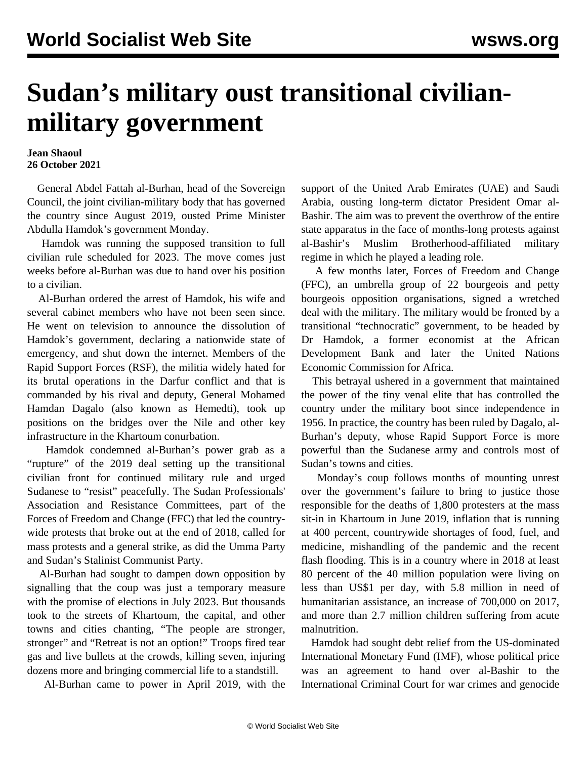## **Sudan's military oust transitional civilianmilitary government**

## **Jean Shaoul 26 October 2021**

 General Abdel Fattah al-Burhan, head of the Sovereign Council, the joint civilian-military body that has governed the country since August 2019, ousted Prime Minister Abdulla Hamdok's government Monday.

 Hamdok was running the supposed transition to full civilian rule scheduled for 2023. The move comes just weeks before al-Burhan was due to hand over his position to a civilian.

 Al-Burhan ordered the arrest of Hamdok, his wife and several cabinet members who have not been seen since. He went on television to announce the dissolution of Hamdok's government, declaring a nationwide state of emergency, and shut down the internet. Members of the Rapid Support Forces (RSF), the militia widely hated for its brutal operations in the Darfur conflict and that is commanded by his rival and deputy, General Mohamed Hamdan Dagalo (also known as Hemedti), took up positions on the bridges over the Nile and other key infrastructure in the Khartoum conurbation.

 Hamdok condemned al-Burhan's power grab as a "rupture" of the 2019 deal setting up the transitional civilian front for continued military rule and urged Sudanese to "resist" peacefully. The Sudan Professionals' Association and Resistance Committees, part of the Forces of Freedom and Change (FFC) that led the countrywide protests that broke out at the end of 2018, called for mass protests and a general strike, as did the Umma Party and Sudan's Stalinist Communist Party.

 Al-Burhan had sought to dampen down opposition by signalling that the coup was just a temporary measure with the promise of elections in July 2023. But thousands took to the streets of Khartoum, the capital, and other towns and cities chanting, "The people are stronger, stronger" and "Retreat is not an option!" Troops fired tear gas and live bullets at the crowds, killing seven, injuring dozens more and bringing commercial life to a standstill.

Al-Burhan came to power in April 2019, with the

support of the United Arab Emirates (UAE) and Saudi Arabia, ousting long-term dictator President Omar al-Bashir. The aim was to prevent the overthrow of the entire state apparatus in the face of months-long protests against al-Bashir's Muslim Brotherhood-affiliated military regime in which he played a leading role.

 A few months later, Forces of Freedom and Change (FFC), an umbrella group of 22 bourgeois and petty bourgeois opposition organisations, signed a wretched deal with the military. The military would be fronted by a transitional "technocratic" government, to be headed by Dr Hamdok, a former economist at the African Development Bank and later the United Nations Economic Commission for Africa.

 This betrayal ushered in a government that maintained the power of the tiny venal elite that has controlled the country under the military boot since independence in 1956. In practice, the country has been ruled by Dagalo, al-Burhan's deputy, whose Rapid Support Force is more powerful than the Sudanese army and controls most of Sudan's towns and cities.

 Monday's coup follows months of mounting unrest over the government's failure to bring to justice those responsible for the deaths of 1,800 protesters at the mass sit-in in Khartoum in June 2019, inflation that is running at 400 percent, countrywide shortages of food, fuel, and medicine, mishandling of the pandemic and the recent flash flooding. This is in a country where in 2018 at least 80 percent of the 40 million population were living on less than US\$1 per day, with 5.8 million in need of humanitarian assistance, an increase of 700,000 on 2017, and more than 2.7 million children suffering from acute malnutrition.

 Hamdok had sought debt relief from the US-dominated International Monetary Fund (IMF), whose political price was an agreement to hand over al-Bashir to the International Criminal Court for war crimes and genocide